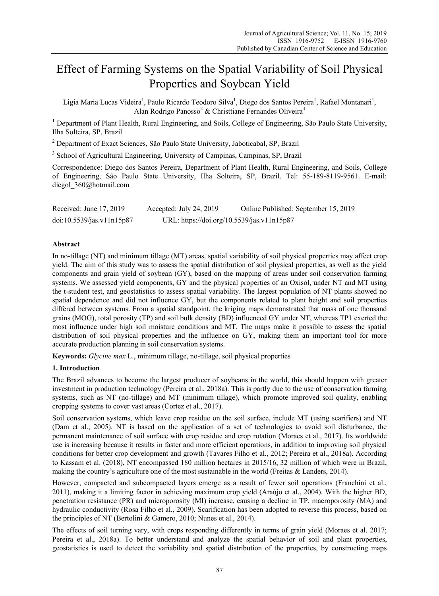# Effect of Farming Systems on the Spatial Variability of Soil Physical Properties and Soybean Yield

Ligia Maria Lucas Videira<sup>1</sup>, Paulo Ricardo Teodoro Silva<sup>1</sup>, Diego dos Santos Pereira<sup>1</sup>, Rafael Montanari<sup>1</sup>, Alan Rodrigo Panosso<sup>2</sup> & Christtiane Fernandes Oliveira<sup>3</sup>

<sup>1</sup> Department of Plant Health, Rural Engineering, and Soils, College of Engineering, São Paulo State University, Ilha Solteira, SP, Brazil

<sup>2</sup> Department of Exact Sciences, São Paulo State University, Jaboticabal, SP, Brazil

<sup>3</sup> School of Agricultural Engineering, University of Campinas, Campinas, SP, Brazil

Correspondence: Diego dos Santos Pereira, Department of Plant Health, Rural Engineering, and Soils, College of Engineering, São Paulo State University, Ilha Solteira, SP, Brazil. Tel: 55-189-8119-9561. E-mail: diegol\_360@hotmail.com

| Received: June $17, 2019$ | Accepted: July 24, 2019                    | Online Published: September 15, 2019 |
|---------------------------|--------------------------------------------|--------------------------------------|
| doi:10.5539/jas.v11n15p87 | URL: https://doi.org/10.5539/jas.v11n15p87 |                                      |

# **Abstract**

In no-tillage (NT) and minimum tillage (MT) areas, spatial variability of soil physical properties may affect crop yield. The aim of this study was to assess the spatial distribution of soil physical properties, as well as the yield components and grain yield of soybean (GY), based on the mapping of areas under soil conservation farming systems. We assessed yield components, GY and the physical properties of an Oxisol, under NT and MT using the t-student test, and geostatistics to assess spatial variability. The largest population of NT plants showed no spatial dependence and did not influence GY, but the components related to plant height and soil properties differed between systems. From a spatial standpoint, the kriging maps demonstrated that mass of one thousand grains (MOG), total porosity (TP) and soil bulk density (BD) influenced GY under NT, whereas TP1 exerted the most influence under high soil moisture conditions and MT. The maps make it possible to assess the spatial distribution of soil physical properties and the influence on GY, making them an important tool for more accurate production planning in soil conservation systems.

**Keywords:** *Glycine max* L., minimum tillage, no-tillage, soil physical properties

#### **1. Introduction**

The Brazil advances to become the largest producer of soybeans in the world, this should happen with greater investment in production technology (Pereira et al., 2018a). This is partly due to the use of conservation farming systems, such as NT (no-tillage) and MT (minimum tillage), which promote improved soil quality, enabling cropping systems to cover vast areas (Cortez et al., 2017).

Soil conservation systems, which leave crop residue on the soil surface, include MT (using scarifiers) and NT (Dam et al., 2005). NT is based on the application of a set of technologies to avoid soil disturbance, the permanent maintenance of soil surface with crop residue and crop rotation (Moraes et al., 2017). Its worldwide use is increasing because it results in faster and more efficient operations, in addition to improving soil physical conditions for better crop development and growth (Tavares Filho et al., 2012; Pereira et al., 2018a). According to Kassam et al. (2018), NT encompassed 180 million hectares in 2015/16, 32 million of which were in Brazil, making the country's agriculture one of the most sustainable in the world (Freitas & Landers, 2014).

However, compacted and subcompacted layers emerge as a result of fewer soil operations (Franchini et al., 2011), making it a limiting factor in achieving maximum crop yield (Araújo et al., 2004). With the higher BD, penetration resistance (PR) and microporosity (MI) increase, causing a decline in TP, macroporosity (MA) and hydraulic conductivity (Rosa Filho et al., 2009). Scarification has been adopted to reverse this process, based on the principles of NT (Bertolini & Gamero, 2010; Nunes et al., 2014).

The effects of soil turning vary, with crops responding differently in terms of grain yield (Moraes et al. 2017; Pereira et al., 2018a). To better understand and analyze the spatial behavior of soil and plant properties, geostatistics is used to detect the variability and spatial distribution of the properties, by constructing maps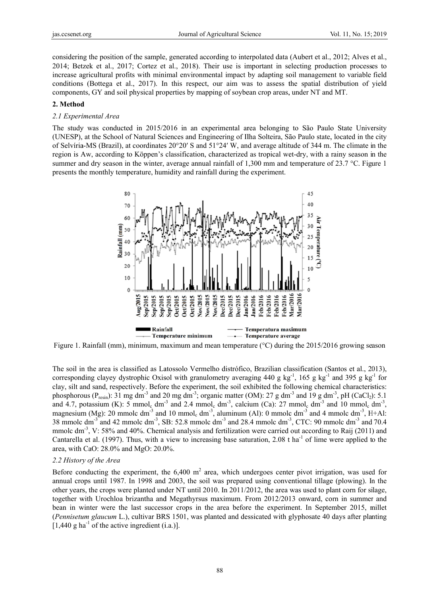considering the position of the sample, generated according to interpolated data (Aubert et al., 2012; Alves et al., 2014; Betzek et al., 2017; Cortez et al., 2018). Their use is important in selecting production processes to increase agricultural profits with minimal environmental impact by adapting soil management to variable field conditions (Bottega et al., 2017). In this respect, our aim was to assess the spatial distribution of yield components, GY and soil physical properties by mapping of soybean crop areas, under NT and MT.

#### 2. Method

#### 2.1 Experimental Area

The study was conducted in 2015/2016 in an experimental area belonging to São Paulo State University (UNESP), at the School of Natural Sciences and Engineering of Ilha Solteira, São Paulo state, located in the city of Selvíria-MS (Brazil), at coordinates 20°20′ S and 51°24′ W, and average altitude of 344 m. The climate in the region is Aw, according to Köppen's classification, characterized as tropical wet-dry, with a rainy season in the summer and dry season in the winter, average annual rainfall of 1,300 mm and temperature of 23.7 °C. Figure 1 presents the monthly temperature, humidity and rainfall during the experiment.



Figure 1. Rainfall (mm), minimum, maximum and mean temperature ( $\degree$ C) during the 2015/2016 growing season

The soil in the area is classified as Latossolo Vermelho distrófico, Brazilian classification (Santos et al., 2013), corresponding clayey dystrophic Oxisol with granulometry averaging 440 g kg<sup>-1</sup>, 165 g kg<sup>-1</sup> and 395 g kg<sup>-1</sup> for clay, silt and sand, respectively. Before the experiment, the soil exhibited the following chemical characteristics: phosphorous ( $P_{resin}$ ): 31 mg dm<sup>-3</sup> and 20 mg dm<sup>-3</sup>; organic matter (OM): 27 g dm<sup>-3</sup> and 19 g dm<sup>-3</sup>, pH (CaCl<sub>2</sub>): 5.1 and 4.7, potassium (K): 5 mmol<sub>c</sub> dm<sup>-3</sup> and 2.4 mmol<sub>c</sub> dm<sup>-3</sup>, calcium (Ca): 27 mmol<sub>c</sub> dm<sup>-3</sup> and 10 mmol<sub>c</sub> dm<sup>-3</sup>, magnesium (Mg): 20 mmolc dm<sup>-3</sup> and 10 mmol<sub>c</sub> dm<sup>-3</sup>, aluminum (Al): 0 mmolc dm<sup>-3</sup> and 4 mmolc dm<sup>-3</sup>, H+Al: 38 mmolc dm<sup>-3</sup> and 42 mmolc dm<sup>-3</sup>, SB: 52.8 mmolc dm<sup>-3</sup> and 28.4 mmolc dm<sup>-3</sup>, CTC: 90 mmolc dm<sup>-3</sup> and 70.4 mmole  $dm^{-3}$ , V: 58% and 40%. Chemical analysis and fertilization were carried out according to Raij (2011) and Cantarella et al. (1997). Thus, with a view to increasing base saturation, 2.08 t ha<sup>-1</sup> of lime were applied to the area, with CaO: 28.0% and MgO: 20.0%.

#### 2.2 History of the Area

Before conducting the experiment, the 6,400  $m<sup>2</sup>$  area, which undergoes center pivot irrigation, was used for annual crops until 1987. In 1998 and 2003, the soil was prepared using conventional tillage (plowing). In the other years, the crops were planted under NT until 2010. In 2011/2012, the area was used to plant corn for silage, together with Urochloa brizantha and Megathyrsus maximum. From 2012/2013 onward, corn in summer and bean in winter were the last successor crops in the area before the experiment. In September 2015, millet (Pennisetum glaucum L.), cultivar BRS 1501, was planted and dessicated with glyphosate 40 days after planting [ $1,440$  g ha<sup>-1</sup> of the active ingredient (i.a.)].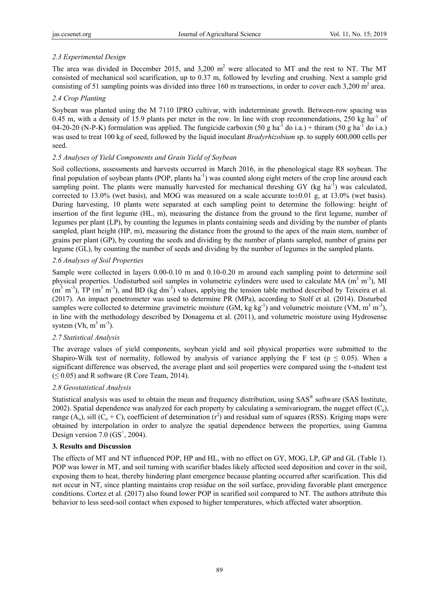# *2.3 Experimental Design*

The area was divided in December 2015, and 3,200  $m^2$  were allocated to MT and the rest to NT. The MT consisted of mechanical soil scarification, up to 0.37 m, followed by leveling and crushing. Next a sample grid consisting of 51 sampling points was divided into three 160 m transections, in order to cover each  $3,200 \text{ m}^2$  area.

#### *2.4 Crop Planting*

Soybean was planted using the M 7110 IPRO cultivar, with indeterminate growth. Between-row spacing was 0.45 m, with a density of 15.9 plants per meter in the row. In line with crop recommendations, 250 kg ha<sup>-1</sup> of 04-20-20 (N-P-K) formulation was applied. The fungicide carboxin (50 g ha<sup>-1</sup> do i.a.) + thiram (50 g ha<sup>-1</sup> do i.a.) was used to treat 100 kg of seed, followed by the liquid inoculant *Bradyrhizobium* sp. to supply 600,000 cells per seed.

# *2.5 Analyses of Yield Components and Grain Yield of Soybean*

Soil collections, assessments and harvests occurred in March 2016, in the phenological stage R8 soybean. The final population of soybean plants (POP, plants  $\text{ha}^{-1}$ ) was counted along eight meters of the crop line around each sampling point. The plants were manually harvested for mechanical threshing GY (kg ha<sup>-1</sup>) was calculated, corrected to 13.0% (wet basis), and MOG was measured on a scale accurate to $\pm 0.01$  g, at 13.0% (wet basis). During harvesting, 10 plants were separated at each sampling point to determine the following: height of insertion of the first legume (HL, m), measuring the distance from the ground to the first legume, number of legumes per plant (LP), by counting the legumes in plants containing seeds and dividing by the number of plants sampled, plant height (HP, m), measuring the distance from the ground to the apex of the main stem, number of grains per plant (GP), by counting the seeds and dividing by the number of plants sampled, number of grains per legume (GL), by counting the number of seeds and dividing by the number of legumes in the sampled plants.

# *2.6 Analyses of Soil Properties*

Sample were collected in layers 0.00-0.10 m and 0.10-0.20 m around each sampling point to determine soil physical properties. Undisturbed soil samples in volumetric cylinders were used to calculate MA  $(m^3 m^3)$ , MI  $(m<sup>3</sup> m<sup>-3</sup>)$ , TP (m<sup>3</sup> m<sup>-3</sup>), and BD (kg dm<sup>-3</sup>) values, applying the tension table method described by Teixeira et al. (2017). An impact penetrometer was used to determine PR (MPa), according to Stolf et al. (2014). Disturbed samples were collected to determine gravimetric moisture (GM, kg kg<sup>-1</sup>) and volumetric moisture (VM, m<sup>3</sup> m<sup>-3</sup>), in line with the methodology described by Donagema et al. (2011), and volumetric moisture using Hydrosense system (Vh,  $m^3 m^{-3}$ ).

# *2.7 Statistical Analysis*

The average values of yield components, soybean yield and soil physical properties were submitted to the Shapiro-Wilk test of normality, followed by analysis of variance applying the F test ( $p \le 0.05$ ). When a significant difference was observed, the average plant and soil properties were compared using the t-student test  $(\leq 0.05)$  and R software (R Core Team, 2014).

# *2.8 Geostatistical Analysis*

Statistical analysis was used to obtain the mean and frequency distribution, using SAS® software (SAS Institute, 2002). Spatial dependence was analyzed for each property by calculating a semivariogram, the nugget effect  $(C_0)$ , range  $(A_0)$ , sill  $(C_0 + C)$ , coefficient of determination  $(r^2)$  and residual sum of squares (RSS). Kriging maps were obtained by interpolation in order to analyze the spatial dependence between the properties, using Gamma Design version  $7.0$  ( $GS<sup>+</sup>$ , 2004).

# **3. Results and Discussion**

The effects of MT and NT influenced POP, HP and HL, with no effect on GY, MOG, LP, GP and GL (Table 1). POP was lower in MT, and soil turning with scarifier blades likely affected seed deposition and cover in the soil, exposing them to heat, thereby hindering plant emergence because planting occurred after scarification. This did not occur in NT, since planting maintains crop residue on the soil surface, providing favorable plant emergence conditions. Cortez et al. (2017) also found lower POP in scarified soil compared to NT. The authors attribute this behavior to less seed-soil contact when exposed to higher temperatures, which affected water absorption.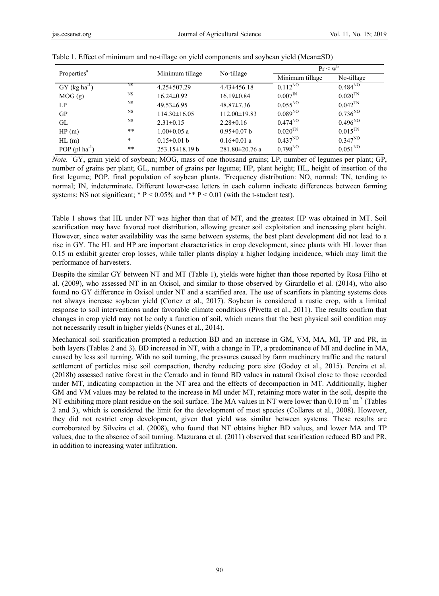| Properties <sup>a</sup>     |                 | Minimum tillage      | No-tillage           | $Pr < w^b$            |              |  |
|-----------------------------|-----------------|----------------------|----------------------|-----------------------|--------------|--|
|                             |                 |                      |                      | Minimum tillage       | No-tillage   |  |
| $GY$ (kg ha <sup>-1</sup> ) | NS <sup>1</sup> | $4.25 \pm 507.29$    | $4.43\pm456.18$      | $0.112^{NQ}$          | $0.484^{NQ}$ |  |
| MOG(g)                      | <b>NS</b>       | $16.24 \pm 0.92$     | $16.19 \pm 0.84$     | $0.007^{IN}$          | $0.020^{TN}$ |  |
| LP.                         | <b>NS</b>       | $49.53\pm 6.95$      | $48.87 \pm 7.36$     | $0.055^{NQ}$          | $0.042^{TN}$ |  |
| <b>GP</b>                   | <b>NS</b>       | $114.30 \pm 16.05$   | $112.00 \pm 19.83$   | 0.089 <sup>NO</sup>   | $0.736^{NQ}$ |  |
| GL                          | <b>NS</b>       | $2.31 \pm 0.15$      | $2.28 \pm 0.16$      | $0.474^{NQ}$          | $0.496^{NQ}$ |  |
| HP(m)                       | $* *$           | $1.00 \pm 0.05$ a    | $0.95 \pm 0.07$ b    | $0.020$ <sup>TN</sup> | $0.015^{TN}$ |  |
| $HL$ (m)                    | $\ast$          | $0.15 \pm 0.01$ b    | $0.16 \pm 0.01$ a    | $0.437^{NQ}$          | $0.347^{NQ}$ |  |
| POP $($ pl ha $^{-1})$      | $***$           | $253.15 \pm 18.19 b$ | $281.80 \pm 20.76$ a | $0.798^{NQ}$          | $0.051^{NQ}$ |  |

|  |  |  |  |  | Table 1. Effect of minimum and no-tillage on yield components and soybean yield (Mean±SD) |  |
|--|--|--|--|--|-------------------------------------------------------------------------------------------|--|
|  |  |  |  |  |                                                                                           |  |

Note. <sup>a</sup>GY, grain yield of soybean; MOG, mass of one thousand grains; LP, number of legumes per plant; GP, number of grains per plant; GL, number of grains per legume; HP, plant height; HL, height of insertion of the first legume; POP, final population of soybean plants. <sup>b</sup>Frequency distribution: NO, normal; TN, tending to normal; IN, indeterminate. Different lower-case letters in each column indicate differences between farming systems: NS not significant;  $* P < 0.05\%$  and  $* P < 0.01$  (with the t-student test).

Table 1 shows that HL under NT was higher than that of MT, and the greatest HP was obtained in MT. Soil scarification may have favored root distribution, allowing greater soil exploitation and increasing plant height. However, since water availability was the same between systems, the best plant development did not lead to a rise in GY. The HL and HP are important characteristics in crop development, since plants with HL lower than 0.15 m exhibit greater crop losses, while taller plants display a higher lodging incidence, which may limit the performance of harvesters.

Despite the similar GY between NT and MT (Table 1), yields were higher than those reported by Rosa Filho et al. (2009), who assessed NT in an Oxisol, and similar to those observed by Girardello et al. (2014), who also found no GY difference in Oxisol under NT and a scarified area. The use of scarifiers in planting systems does not always increase soybean yield (Cortez et al., 2017). Soybean is considered a rustic crop, with a limited response to soil interventions under favorable climate conditions (Pivetta et al., 2011). The results confirm that changes in crop yield may not be only a function of soil, which means that the best physical soil condition may not necessarily result in higher yields (Nunes et al., 2014).

Mechanical soil scarification prompted a reduction BD and an increase in GM, VM, MA, MI, TP and PR, in both layers (Tables 2 and 3). BD increased in NT, with a change in TP, a predominance of MI and decline in MA, caused by less soil turning. With no soil turning, the pressures caused by farm machinery traffic and the natural settlement of particles raise soil compaction, thereby reducing pore size (Godoy et al., 2015). Pereira et al. (2018b) assessed native forest in the Cerrado and in found BD values in natural Oxisol close to those recorded under MT, indicating compaction in the NT area and the effects of decompaction in MT. Additionally, higher GM and VM values may be related to the increase in MI under MT, retaining more water in the soil, despite the NT exhibiting more plant residue on the soil surface. The MA values in NT were lower than  $0.10 \text{ m}^3 \text{ m}^{-3}$  (Tables 2 and 3), which is considered the limit for the development of most species (Collares et al., 2008). However, they did not restrict crop development, given that yield was similar between systems. These results are corroborated by Silveira et al. (2008), who found that NT obtains higher BD values, and lower MA and TP values, due to the absence of soil turning. Mazurana et al. (2011) observed that scarification reduced BD and PR, in addition to increasing water infiltration.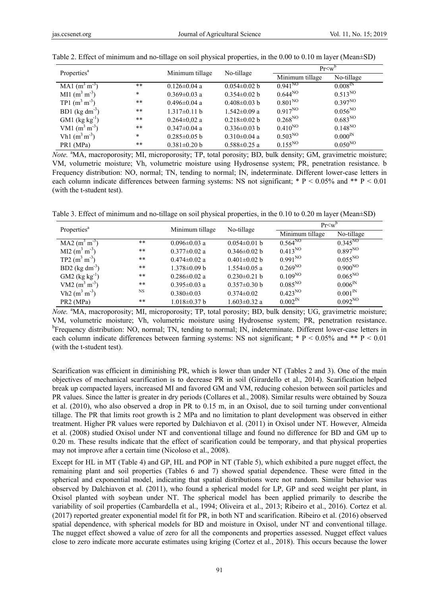| Properties <sup>a</sup>      |        |                    | No-tillage         | $Pr< w$ <sup>o</sup> |                     |  |
|------------------------------|--------|--------------------|--------------------|----------------------|---------------------|--|
|                              |        | Minimum tillage    |                    | Minimum tillage      | No-tillage          |  |
| MA1 $(m^3 m^{-3})$           | $* *$  | $0.126 \pm 0.04$ a | $0.054 \pm 0.02$ b | $0.941^{NQ}$         | $0.008^{\text{IN}}$ |  |
| MI1 $(m^3 m^3)$              | $\ast$ | $0.369 \pm 0.03$ a | $0.354 \pm 0.02$ b | $0.644^{NQ}$         | $0.513^{NQ}$        |  |
| TP1 $(m^3 m^{-3})$           | $* *$  | $0.496 \pm 0.04$ a | $0.408 \pm 0.03$ b | 0.801 <sup>NO</sup>  | $0.397^{NQ}$        |  |
| BD1 ( $\text{kg dm}^{-3}$ )  | $* *$  | $1.317\pm0.11$ b   | $1.542 \pm 0.09$ a | $0.917^{NQ}$         | $0.056^{NQ}$        |  |
| $GM1$ (kg kg <sup>-1</sup> ) | $* *$  | $0.264 \pm 0.02$ a | $0.218 \pm 0.02$ b | $0.268^{NQ}$         | $0.683^{NQ}$        |  |
| VM1 $(m^3 m^3)$              | $* *$  | $0.347 \pm 0.04$ a | $0.336 \pm 0.03$ b | $0.410^{NQ}$         | $0.148^{NQ}$        |  |
| Vh1 $(m^3 m^3)$              | $\ast$ | $0.285 \pm 0.05$ b | $0.310 \pm 0.04$ a | 0.503 <sup>NO</sup>  | $0.000^{\text{IN}}$ |  |
| PR1 (MPa)                    | **     | $0.381 \pm 0.20$ b | $0.588 \pm 0.25$ a | $0.155^{NQ}$         | $0.050^{NQ}$        |  |

| Table 2. Effect of minimum and no-tillage on soil physical properties, in the 0.00 to 0.10 m layer (Mean±SD) |  |  |
|--------------------------------------------------------------------------------------------------------------|--|--|
|                                                                                                              |  |  |

Note. <sup>a</sup>MA, macroporosity; MI, microporosity; TP, total porosity; BD, bulk density; GM, gravimetric moisture; VM, volumetric moisture; Vh, volumetric moisture using Hydrosense system; PR, penetration resistance. b Frequency distribution: NO, normal; TN, tending to normal; IN, indeterminate. Different lower-case letters in each column indicate differences between farming systems: NS not significant;  $* P < 0.05\%$  and  $* P < 0.01$ (with the t-student test).

Table 3. Effect of minimum and no-tillage on soil physical properties, in the 0.10 to 0.20 m layer (Mean±SD)

| Properties <sup>a</sup>      |              | Minimum tillage    | No-tillage         | $Pr< w^b$       |                     |  |
|------------------------------|--------------|--------------------|--------------------|-----------------|---------------------|--|
|                              |              |                    |                    | Minimum tillage | No-tillage          |  |
| $MA2 (m3 m-3)$               | $***$        | $0.096 \pm 0.03$ a | $0.054 \pm 0.01$ b | $0.564^{NQ}$    | $0.345^{NQ}$        |  |
| $MI2 (m3 m-3)$               | $* *$        | $0.377 \pm 0.02$ a | $0.346 \pm 0.02$ b | $0.413^{NQ}$    | $0.897^{NQ}$        |  |
| TP2 $(m^3 m^3)$              | $* *$        | $0.474 \pm 0.02$ a | $0.401 \pm 0.02$ b | $0.991^{NQ}$    | $0.055^{NQ}$        |  |
| BD2 $(kg dm^{-3})$           | $***$        | $1.378 \pm 0.09$ b | $1.554 \pm 0.05$ a | $0.269^{NQ}$    | $0.900^{NQ}$        |  |
| $GM2$ (kg kg <sup>-1</sup> ) | $* *$        | $0.286 \pm 0.02$ a | $0.230 \pm 0.21$ b | $0.109^{NQ}$    | $0.065^{NQ}$        |  |
| VM2 $(m^3 m^{-3})$           | $* *$        | $0.395 \pm 0.03$ a | $0.357 \pm 0.30$ b | $0.085^{NQ}$    | 0.006 <sup>IN</sup> |  |
| Vh2 $(m^3 m^3)$              | NS           | $0.380 \pm 0.03$   | $0.374 \pm 0.02$   | $0.423^{NQ}$    | 0.001 <sup>IN</sup> |  |
| PR <sub>2</sub> (MPa)        | $\star\star$ | $1.018 \pm 0.37$ b | $1.603 \pm 0.32$ a | $0.002^{IN}$    | $0.092^{NQ}$        |  |

Note. <sup>a</sup>MA, macroporosity; MI, microporosity; TP, total porosity; BD, bulk density; UG, gravimetric moisture; VM, volumetric moisture; Vh, volumetric moisture using Hydrosense system; PR, penetration resistance. <sup>b</sup>Frequency distribution: NO, normal; TN, tending to normal; IN, indeterminate. Different lower-case letters in each column indicate differences between farming systems: NS not significant;  $* P < 0.05\%$  and  $* P < 0.01$ (with the t-student test).

Scarification was efficient in diminishing PR, which is lower than under NT (Tables 2 and 3). One of the main objectives of mechanical scarification is to decrease PR in soil (Girardello et al., 2014). Scarification helped break up compacted layers, increased MI and favored GM and VM, reducing cohesion between soil particles and PR values. Since the latter is greater in dry periods (Collares et al., 2008). Similar results were obtained by Souza et al. (2010), who also observed a drop in PR to 0.15 m, in an Oxisol, due to soil turning under conventional tillage. The PR that limits root growth is 2 MPa and no limitation to plant development was observed in either treatment. Higher PR values were reported by Dalchiavon et al. (2011) in Oxisol under NT. However, Almeida et al. (2008) studied Oxisol under NT and conventional tillage and found no difference for BD and GM up to 0.20 m. These results indicate that the effect of scarification could be temporary, and that physical properties may not improve after a certain time (Nicoloso et al., 2008).

Except for HL in MT (Table 4) and GP, HL and POP in NT (Table 5), which exhibited a pure nugget effect, the remaining plant and soil properties (Tables 6 and 7) showed spatial dependence. These were fitted in the spherical and exponential model, indicating that spatial distributions were not random. Similar behavior was observed by Dalchiavon et al. (2011), who found a spherical model for LP, GP and seed weight per plant, in Oxisol planted with soybean under NT. The spherical model has been applied primarily to describe the variability of soil properties (Cambardella et al., 1994; Oliveira et al., 2013; Ribeiro et al., 2016). Cortez et al. (2017) reported greater exponential model fit for PR, in both NT and scarification. Ribeiro et al. (2016) observed spatial dependence, with spherical models for BD and moisture in Oxisol, under NT and conventional tillage. The nugget effect showed a value of zero for all the components and properties assessed. Nugget effect values close to zero indicate more accurate estimates using kriging (Cortez et al., 2018). This occurs because the lower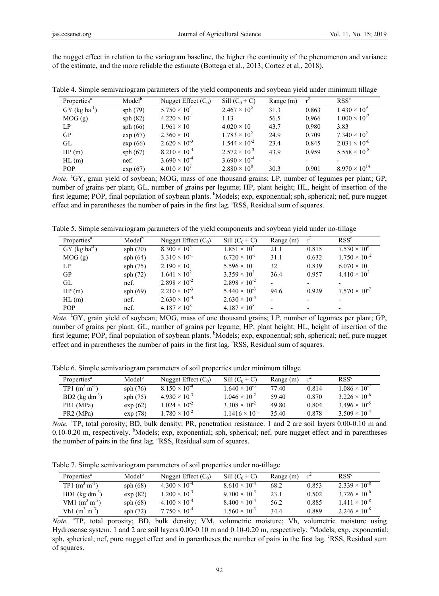the nugget effect in relation to the variogram baseline, the higher the continuity of the phenomenon and variance of the estimate, and the more reliable the estimate (Bottega et al., 2013; Cortez et al., 2018).

| Properties <sup>a</sup>     | Model <sup>b</sup> | Nugget Effect $(C_0)$  | Sill $(C_0 + C)$       | Range (m) |       | RSS <sup>c</sup>       |
|-----------------------------|--------------------|------------------------|------------------------|-----------|-------|------------------------|
| $GY$ (kg ha <sup>-1</sup> ) | sph(79)            | $5.750 \times 10^4$    | $2.467 \times 10^{5}$  | 31.3      | 0.863 | $1.430 \times 10^{9}$  |
| MOG(g)                      | sph(82)            | $4.220 \times 10^{-1}$ | 1.13                   | 56.5      | 0.966 | $1.000 \times 10^{-2}$ |
| LP.                         | sph(66)            | $1.961 \times 10$      | $4.020 \times 10$      | 43.7      | 0.980 | 3.83                   |
| GP                          | $\exp(67)$         | $2.360 \times 10$      | $1.783 \times 10^{2}$  | 24.9      | 0.709 | $7.340 \times 10^{2}$  |
| GL                          | $\exp(66)$         | $2.620 \times 10^{-3}$ | $1.544 \times 10^{-2}$ | 23.4      | 0.845 | $2.031 \times 10^{-6}$ |
| HP(m)                       | sph(67)            | $8.210 \times 10^{-4}$ | $2.572 \times 10^{-3}$ | 43.9      | 0.959 | $5.558 \times 10^{-8}$ |
| $HL$ (m)                    | nef.               | $3.690 \times 10^{-4}$ | $3.690 \times 10^{-4}$ |           |       |                        |
| POP.                        | exp (67)           | $4.010 \times 10^{7}$  | $2.880 \times 10^8$    | 30.3      | 0.901 | $8.970 \times 10^{14}$ |

Table 4. Simple semivariogram parameters of the yield components and soybean yield under minimum tillage

Table 5. Simple semivariogram parameters of the yield components and soybean yield under no-tillage

| Properties <sup>a</sup>     | Model <sup>b</sup> | Nugget Effect $(C_0)$  | Sill $(C_0 + C)$       | Range (m)                |       | RSS <sup>c</sup>         |
|-----------------------------|--------------------|------------------------|------------------------|--------------------------|-------|--------------------------|
| $GY$ (kg ha <sup>-1</sup> ) | sph(70)            | $8.300 \times 10^{3}$  | $1.851 \times 10^{5}$  | 21.1                     | 0.815 | $7.530 \times 10^8$      |
| MOG(g)                      | sph(64)            | $3.310 \times 10^{-1}$ | $6.720 \times 10^{-1}$ | 31.1                     | 0.632 | $1.750 \times 10^{-2}$   |
| LP                          | sph(75)            | $2.190 \times 10$      | $5.596 \times 10$      | 32                       | 0.839 | $6.070 \times 10$        |
| GP                          | sph(72)            | $1.641 \times 10^{2}$  | $3.359 \times 10^{2}$  | 36.4                     | 0.957 | $4.410 \times 10^{2}$    |
| GL                          | nef.               | $2.898 \times 10^{-2}$ | $2.898 \times 10^{-2}$ |                          |       |                          |
| HP(m)                       | sph(69)            | $2.210 \times 10^{-3}$ | $5.440 \times 10^{-3}$ | 94.6                     | 0.929 | $7.570 \times 10^{-7}$   |
| $HL$ (m)                    | nef.               | $2.630 \times 10^{-4}$ | $2.630 \times 10^{-4}$ |                          |       |                          |
| <b>POP</b>                  | nef.               | $4.187 \times 10^8$    | $4.187 \times 10^8$    | $\overline{\phantom{0}}$ |       | $\overline{\phantom{0}}$ |

Note. <sup>a</sup>GY, grain yield of soybean; MOG, mass of one thousand grains; LP, number of legumes per plant; GP, number of grains per plant; GL, number of grains per legume; HP, plant height; HL, height of insertion of the first legume; POP, final population of soybean plants. <sup>b</sup>Models; exp, exponential; sph, spherical; nef, pure nugget effect and in parentheses the number of pairs in the first lag. <sup>c</sup>RSS, Residual sum of squares.

Table 6. Simple semivariogram parameters of soil properties under minimum tillage

| Properties <sup>a</sup> | Model <sup>b</sup> | Nugget Effect $(C_0)$  | Sill $(C_0 + C)$                | Range (m) |       | RSS <sup>c</sup>       |
|-------------------------|--------------------|------------------------|---------------------------------|-----------|-------|------------------------|
| TP1 $(m^3 m^3)$         | sph $(76)$         | $8.150 \times 10^{-4}$ | $1.640 \times 10^{-3}$          | 77.40     | 0.814 | $1.086 \times 10^{-7}$ |
| BD2 ( $kg dm^{-3}$ )    | sph(75)            | $4.930 \times 10^{-3}$ | $1.046 \times 10^{-2}$          | 59.40     | 0.870 | $3.226 \times 10^{-6}$ |
| PR <sub>1</sub> (MPa)   | exp(62)            | $1.024 \times 10^{-2}$ | 3 308 $\times$ 10 <sup>-2</sup> | 49.80     | 0.804 | $3.496 \times 10^{-5}$ |
| PR <sub>2</sub> (MPa)   | exp(78)            | $1.780 \times 10^{-2}$ | $1.1416 \times 10^{-1}$         | 35.40     | 0.878 | $3.509 \times 10^{-4}$ |

Note. <sup>a</sup>TP, total porosity; BD, bulk density; PR, penetration resistance. 1 and 2 are soil layers 0.00-0.10 m and 0.10-0.20 m, respectively. <sup>b</sup>Models; exp, exponential; sph, spherical; nef, pure nugget effect and in parentheses the number of pairs in the first lag. <sup>c</sup>RSS, Residual sum of squares.

Table 7. Simple semivariogram parameters of soil properties under no-tillage

| Properties <sup>a</sup>     | Model <sup>o</sup> | Nugget Effect $(C_0)$  | Sill $(C_0 + C)$       | Range $(m)$ |       | RSS <sup>c</sup>       |
|-----------------------------|--------------------|------------------------|------------------------|-------------|-------|------------------------|
| $TP1(m^3 m^3)$              | sph(68)            | $4.300 \times 10^{-4}$ | $8.610 \times 10^{-4}$ | 68.2        | 0.853 | $2.339 \times 10^{-8}$ |
| BD1 ( $\text{kg dm}^{-3}$ ) | exp(82)            | $1.200 \times 10^{-3}$ | $9.700 \times 10^{-3}$ | 23.1        | 0.502 | $3.726 \times 10^{-6}$ |
| VM1 $(m^3 m^{-3})$          | sph(68)            | $4.100 \times 10^{-4}$ | $8.400 \times 10^{-4}$ | 56.2        | 0.885 | $1.411 \times 10^{-8}$ |
| Vh1 $(m^3 m^{-3})$          | sph(72)            | $7.750 \times 10^{-4}$ | $1.560 \times 10^{-3}$ | 34.4        | 0.889 | $2.246 \times 10^{-8}$ |

*Note.* <sup>a</sup> TP, total porosity; BD, bulk density; VM, volumetric moisture; Vh, volumetric moisture using Hydrosense system. 1 and 2 are soil layers 0.00-0.10 m and 0.10-0.20 m, respectively. <sup>b</sup>Models; exp, exponential; sph, spherical; nef, pure nugget effect and in parentheses the number of pairs in the first lag. <sup>e</sup>RSS, Residual sum of squares.

Note. <sup>a</sup>GY, grain yield of soybean; MOG, mass of one thousand grains; LP, number of legumes per plant; GP, number of grains per plant; GL, number of grains per legume; HP, plant height; HL, height of insertion of the first legume; POP, final population of soybean plants. <sup>b</sup>Models; exp, exponential; sph, spherical; nef, pure nugget effect and in parentheses the number of pairs in the first lag. <sup>c</sup>RSS, Residual sum of squares.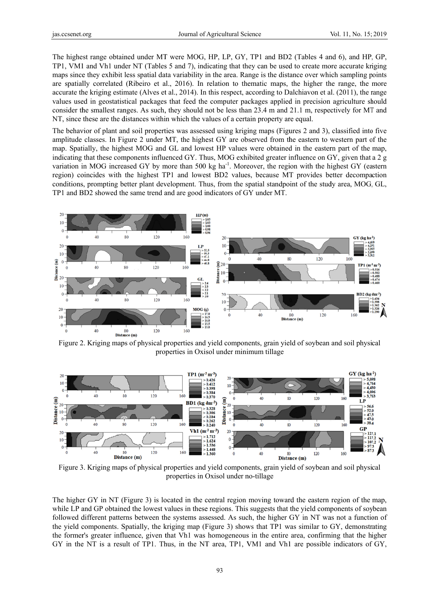The highest range obtained under MT were MOG, HP, LP, GY, TP1 and BD2 (Tables 4 and 6), and HP, GP, TP1, VM1 and Vh1 under NT (Tables 5 and 7), indicating that they can be used to create more accurate kriging maps since they exhibit less spatial data variability in the area. Range is the distance over which sampling points are spatially correlated (Ribeiro et al., 2016). In relation to thematic maps, the higher the range, the more accurate the kriging estimate (Alves et al., 2014). In this respect, according to Dalchiavon et al. (2011), the range values used in geostatistical packages that feed the computer packages applied in precision agriculture should consider the smallest ranges. As such, they should not be less than 23.4 m and 21.1 m, respectively for MT and NT, since these are the distances within which the values of a certain property are equal.

The behavior of plant and soil properties was assessed using kriging maps (Figures 2 and 3), classified into five amplitude classes. In Figure 2 under MT, the highest GY are observed from the eastern to western part of the map. Spatially, the highest MOG and GL and lowest HP values were obtained in the eastern part of the map. indicating that these components influenced GY. Thus, MOG exhibited greater influence on GY, given that a 2 g variation in MOG increased GY by more than 500 kg ha<sup>-1</sup>. Moreover, the region with the highest GY (eastern region) coincides with the highest TP1 and lowest BD2 values, because MT provides better decompaction conditions, prompting better plant development. Thus, from the spatial standpoint of the study area, MOG, GL, TP1 and BD2 showed the same trend and are good indicators of GY under MT.



Figure 2. Kriging maps of physical properties and yield components, grain yield of soybean and soil physical properties in Oxisol under minimum tillage



Figure 3. Kriging maps of physical properties and yield components, grain yield of soybean and soil physical properties in Oxisol under no-tillage

The higher GY in NT (Figure 3) is located in the central region moving toward the eastern region of the map, while LP and GP obtained the lowest values in these regions. This suggests that the yield components of soybean followed different patterns between the systems assessed. As such, the higher GY in NT was not a function of the yield components. Spatially, the kriging map (Figure 3) shows that TP1 was similar to GY, demonstrating the former's greater influence, given that Vh1 was homogeneous in the entire area, confirming that the higher GY in the NT is a result of TP1. Thus, in the NT area, TP1, VM1 and Vh1 are possible indicators of GY,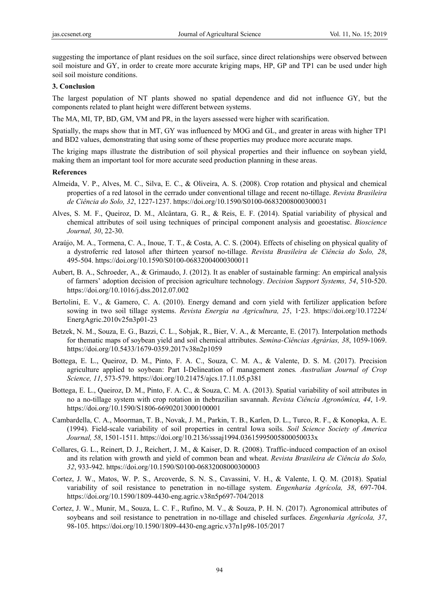suggesting the importance of plant residues on the soil surface, since direct relationships were observed between soil moisture and GY, in order to create more accurate kriging maps, HP, GP and TP1 can be used under high soil soil moisture conditions.

#### **3. Conclusion**

The largest population of NT plants showed no spatial dependence and did not influence GY, but the components related to plant height were different between systems.

The MA, MI, TP, BD, GM, VM and PR, in the layers assessed were higher with scarification.

Spatially, the maps show that in MT, GY was influenced by MOG and GL, and greater in areas with higher TP1 and BD2 values, demonstrating that using some of these properties may produce more accurate maps.

The kriging maps illustrate the distribution of soil physical properties and their influence on soybean yield, making them an important tool for more accurate seed production planning in these areas.

#### **References**

- Almeida, V. P., Alves, M. C., Silva, E. C., & Oliveira, A. S. (2008). Crop rotation and physical and chemical properties of a red latosol in the cerrado under conventional tillage and recent no-tillage. *Revista Brasileira de Ciência do Solo, 32*, 1227-1237. https://doi.org/10.1590/S0100-06832008000300031
- Alves, S. M. F., Queiroz, D. M., Alcântara, G. R., & Reis, E. F. (2014). Spatial variability of physical and chemical attributes of soil using techniques of principal component analysis and geoestatisc. *Bioscience Journal, 30*, 22-30.
- Araújo, M. A., Tormena, C. A., Inoue, T. T., & Costa, A. C. S. (2004). Effects of chiseling on physical quality of a dystroferric red latosol after thirteen yearsof no-tillage. *Revista Brasileira de Ciência do Solo, 28*, 495-504. https://doi.org/10.1590/S0100-06832004000300011
- Aubert, B. A., Schroeder, A., & Grimaudo, J. (2012). It as enabler of sustainable farming: An empirical analysis of farmers' adoption decision of precision agriculture technology. *Decision Support Systems, 54*, 510-520. https://doi.org/10.1016/j.dss.2012.07.002
- Bertolini, E. V., & Gamero, C. A. (2010). Energy demand and corn yield with fertilizer application before sowing in two soil tillage systems. *Revista Energia na Agricultura, 25*, 1-23. https://doi.org/10.17224/ EnergAgric.2010v25n3p01-23
- Betzek, N. M., Souza, E. G., Bazzi, C. L., Sobjak, R., Bier, V. A., & Mercante, E. (2017). Interpolation methods for thematic maps of soybean yield and soil chemical attributes. *Semina-Ciências Agrárias, 38*, 1059-1069. https://doi.org/10.5433/1679-0359.2017v38n2p1059
- Bottega, E. L., Queiroz, D. M., Pinto, F. A. C., Souza, C. M. A., & Valente, D. S. M. (2017). Precision agriculture applied to soybean: Part I-Delineation of management zones*. Australian Journal of Crop Science, 11*, 573-579. https://doi.org/10.21475/ajcs.17.11.05.p381
- Bottega, E. L., Queiroz, D. M., Pinto, F. A. C., & Souza, C. M. A. (2013). Spatial variability of soil attributes in no a no-tillage system with crop rotation in thebrazilian savannah. *Revista Ciência Agronômica, 44*, 1-9. https://doi.org/10.1590/S1806-66902013000100001
- Cambardella, C. A., Moorman, T. B., Novak, J. M., Parkin, T. B., Karlen, D. L., Turco, R. F., & Konopka, A. E. (1994). Field-scale variability of soil properties in central Iowa soils. *Soil Science Society of America Journal, 58*, 1501-1511. https://doi.org/10.2136/sssaj1994.03615995005800050033x
- Collares, G. L., Reinert, D. J., Reichert, J. M., & Kaiser, D. R. (2008). Traffic-induced compaction of an oxisol and its relation with growth and yield of common bean and wheat. *Revista Brasileira de Ciência do Solo, 32*, 933-942. https://doi.org/10.1590/S0100-06832008000300003
- Cortez, J. W., Matos, W. P. S., Arcoverde, S. N. S., Cavassini, V. H., & Valente, I. Q. M. (2018). Spatial variability of soil resistance to penetration in no-tillage system. *Engenharia Agrícola, 38*, 697-704. https://doi.org/10.1590/1809-4430-eng.agric.v38n5p697-704/2018
- Cortez, J. W., Munir, M., Souza, L. C. F., Rufino, M. V., & Souza, P. H. N. (2017). Agronomical attributes of soybeans and soil resistance to penetration in no-tillage and chiseled surfaces. *Engenharia Agrícola, 37*, 98-105. https://doi.org/10.1590/1809-4430-eng.agric.v37n1p98-105/2017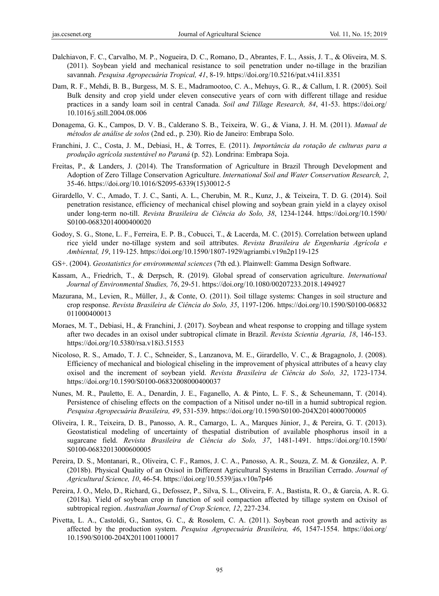- Dalchiavon, F. C., Carvalho, M. P., Nogueira, D. C., Romano, D., Abrantes, F. L., Assis, J. T., & Oliveira, M. S. (2011). Soybean yield and mechanical resistance to soil penetration under no-tillage in the brazilian savannah. *Pesquisa Agropecuária Tropical, 41*, 8-19. https://doi.org/10.5216/pat.v41i1.8351
- Dam, R. F., Mehdi, B. B., Burgess, M. S. E., Madramootoo, C. A., Mehuys, G. R., & Callum, I. R. (2005). Soil Bulk density and crop yield under eleven consecutive years of corn with different tillage and residue practices in a sandy loam soil in central Canada. *Soil and Tillage Research, 84*, 41-53. https://doi.org/ 10.1016/j.still.2004.08.006
- Donagema, G. K., Campos, D. V. B., Calderano S. B., Teixeira, W. G., & Viana, J. H. M. (2011). *Manual de métodos de análise de solos* (2nd ed., p. 230). Rio de Janeiro: Embrapa Solo.
- Franchini, J. C., Costa, J. M., Debiasi, H., & Torres, E. (2011). *Importância da rotação de culturas para a produção agrícola sustentável no Paraná* (p. 52). Londrina: Embrapa Soja.
- Freitas, P., & Landers, J. (2014). The Transformation of Agriculture in Brazil Through Development and Adoption of Zero Tillage Conservation Agriculture. *International Soil and Water Conservation Research, 2*, 35-46. https://doi.org/10.1016/S2095-6339(15)30012-5
- Girardello, V. C., Amado, T. J. C., Santi, A. L., Cherubin, M. R., Kunz, J., & Teixeira, T. D. G. (2014). Soil penetration resistance, efficiency of mechanical chisel plowing and soybean grain yield in a clayey oxisol under long-term no-till. *Revista Brasileira de Ciência do Solo, 38*, 1234-1244. https://doi.org/10.1590/ S0100-06832014000400020
- Godoy, S. G., Stone, L. F., Ferreira, E. P. B., Cobucci, T., & Lacerda, M. C. (2015). Correlation between upland rice yield under no-tillage system and soil attributes. *Revista Brasileira de Engenharia Agrícola e Ambiental, 19*, 119-125. https://doi.org/10.1590/1807-1929/agriambi.v19n2p119-125
- GS+. (2004). *Geostatistics for environmental sciences* (7th ed.). Plainwell: Gamma Design Software.
- Kassam, A., Friedrich, T., & Derpsch, R. (2019). Global spread of conservation agriculture. *International Journal of Environmental Studies, 76*, 29-51. https://doi.org/10.1080/00207233.2018.1494927
- Mazurana, M., Levien, R., Müller, J., & Conte, O. (2011). Soil tillage systems: Changes in soil structure and crop response. *Revista Brasileira de Ciência do Solo, 35*, 1197-1206. https://doi.org/10.1590/S0100-06832 011000400013
- Moraes, M. T., Debiasi, H., & Franchini, J. (2017). Soybean and wheat response to cropping and tillage system after two decades in an oxisol under subtropical climate in Brazil. *Revista Scientia Agraria, 18*, 146-153. https://doi.org/10.5380/rsa.v18i3.51553
- Nicoloso, R. S., Amado, T. J. C., Schneider, S., Lanzanova, M. E., Girardello, V. C., & Bragagnolo, J. (2008). Efficiency of mechanical and biological chiseling in the improvement of physical attributes of a heavy clay oxisol and the increment of soybean yield. *Revista Brasileira de Ciência do Solo, 32*, 1723-1734. https://doi.org/10.1590/S0100-06832008000400037
- Nunes, M. R., Pauletto, E. A., Denardin, J. E., Faganello, A. & Pinto, L. F. S., & Scheunemann, T. (2014). Persistence of chiseling effects on the compaction of a Nitisol under no-till in a humid subtropical region. *Pesquisa Agropecuária Brasileira, 49*, 531-539. https://doi.org/10.1590/S0100-204X2014000700005
- Oliveira, I. R., Teixeira, D. B., Panosso, A. R., Camargo, L. A., Marques Júnior, J., & Pereira, G. T. (2013). Geostatistical modeling of uncertainty of thespatial distribution of available phosphorus insoil in a sugarcane field. *Revista Brasileira de Ciência do Solo, 37*, 1481-1491. https://doi.org/10.1590/ S0100-06832013000600005
- Pereira, D. S., Montanari, R., Oliveira, C. F., Ramos, J. C. A., Panosso, A. R., Souza, Z. M. & González, A. P. (2018b). Physical Quality of an Oxisol in Different Agricultural Systems in Brazilian Cerrado. *Journal of Agricultural Science, 10*, 46-54. https://doi.org/10.5539/jas.v10n7p46
- Pereira, J. O., Melo, D., Richard, G., Defossez, P., Silva, S. L., Oliveira, F. A., Bastista, R. O., & Garcia, A. R. G. (2018a). Yield of soybean crop in function of soil compaction affected by tillage system on Oxisol of subtropical region. *Australian Journal of Crop Science, 12*, 227-234.
- Pivetta, L. A., Castoldi, G., Santos, G. C., & Rosolem, C. A. (2011). Soybean root growth and activity as affected by the production system. *Pesquisa Agropecuária Brasileira, 46*, 1547-1554. https://doi.org/ 10.1590/S0100-204X2011001100017